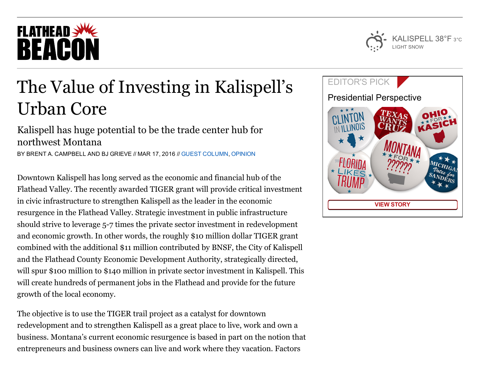# **FLATHEAD SWE** BEACON

## The Value of Investing in Kalispell's Urban Core

### Kalispell has huge potential to be the trade center hub for northwest Montana

BY BRENT A. CAMPBELL AND BJ GRIEVE // MAR 17, 2016 // GUEST [COLUMN](http://flatheadbeacon.com/section/opinion/guest-column/), [OPINION](http://flatheadbeacon.com/section/opinion/)

Downtown Kalispell has long served as the economic and financial hub of the Flathead Valley. The recently awarded TIGER grant will provide critical investment in civic infrastructure to strengthen Kalispell as the leader in the economic resurgence in the Flathead Valley. Strategic investment in public infrastructure should strive to leverage 5-7 times the private sector investment in redevelopment and economic growth. In other words, the roughly \$10 million dollar TIGER grant combined with the additional \$11 million contributed by BNSF, the City of Kalispell and the Flathead County Economic Development Authority, strategically directed, will spur \$100 million to \$140 million in private sector investment in Kalispell. This will create hundreds of permanent jobs in the Flathead and provide for the future growth of the local economy.

The objective is to use the TIGER trail project as a catalyst for downtown redevelopment and to strengthen Kalispell as a great place to live, work and own a business. Montana's current economic resurgence is based in part on the notion that entrepreneurs and business owners can live and work where they vacation. Factors



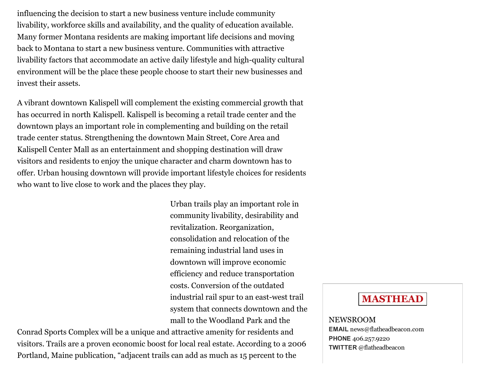influencing the decision to start a new business venture include community livability, workforce skills and availability, and the quality of education available. Many former Montana residents are making important life decisions and moving back to Montana to start a new business venture. Communities with attractive livability factors that accommodate an active daily lifestyle and high-quality cultural environment will be the place these people choose to start their new businesses and invest their assets.

A vibrant downtown Kalispell will complement the existing commercial growth that has occurred in north Kalispell. Kalispell is becoming a retail trade center and the downtown plays an important role in complementing and building on the retail trade center status. Strengthening the downtown Main Street, Core Area and Kalispell Center Mall as an entertainment and shopping destination will draw visitors and residents to enjoy the unique character and charm downtown has to offer. Urban housing downtown will provide important lifestyle choices for residents who want to live close to work and the places they play.

> Urban trails play an important role in community livability, desirability and revitalization. Reorganization, consolidation and relocation of the remaining industrial land uses in downtown will improve economic efficiency and reduce transportation costs. Conversion of the outdated industrial rail spur to an east-west trail system that connects downtown and the mall to the Woodland Park and the

Conrad Sports Complex will be a unique and attractive amenity for residents and visitors. Trails are a proven economic boost for local real estate. According to a 2006 Portland, Maine publication, "adjacent trails can add as much as 15 percent to the

### MASTHEAD

NEWSROOM EMAIL [news@flatheadbeacon.com](mailto:news@flatheadbeacon.com) PHONE [406.257.9220](tel:406.257.9220) TWITTER @flatheadbeacon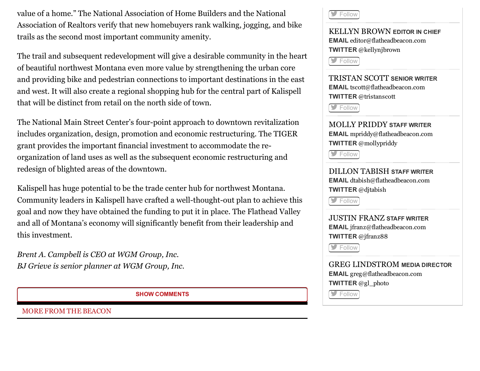value of a home." The National Association of Home Builders and the National Association of Realtors verify that new homebuyers rank walking, jogging, and bike trails as the second most important community amenity.

The trail and subsequent redevelopment will give a desirable community in the heart of beautiful northwest Montana even more value by strengthening the urban core and providing bike and pedestrian connections to important destinations in the east and west. It will also create a regional shopping hub for the central part of Kalispell that will be distinct from retail on the north side of town.

The National Main Street Center's four-point approach to downtown revitalization includes organization, design, promotion and economic restructuring. The TIGER grant provides the important financial investment to accommodate the reorganization of land uses as well as the subsequent economic restructuring and redesign of blighted areas of the downtown.

Kalispell has huge potential to be the trade center hub for northwest Montana. Community leaders in Kalispell have crafted a well-thought-out plan to achieve this goal and now they have obtained the funding to put it in place. The Flathead Valley and all of Montana's economy will significantly benefit from their leadership and this investment.

Brent A. Campbell is CEO at WGM Group, Inc. BJ Grieve is senior planner at WGM Group, Inc.

SHOW COMMENTS

MORE FROM THE BEACON

[Follow](http://twitter.com/flatheadbeacon)

KELLYN BROWN EDITOR IN CHIEF EMAIL [editor@flatheadbeacon.com](mailto:editor@flatheadbeacon.com) TWITTER @kellynjbrown

[Follow](http://twitter.com/kellynjbrown)

TRISTAN SCOTT SENIOR WRITER EMAIL [tscott@flatheadbeacon.com](mailto:tscott@flatheadbeacon.com) TWITTER @tristanscott

[Follow](http://twitter.com/tristanscott)<sup>1</sup>

MOLLY PRIDDY STAFF WRITER EMAIL [mpriddy@flatheadbeacon.com](mailto:mpriddy@flatheadbeacon.com) TWITTER @mollypriddy

**[Follow](http://twitter.com/mollypriddy)** 

DILLON TABISH STAFF WRITER EMAIL [dtabish@flatheadbeacon.com](mailto:dtabish@flatheadbeacon.com) TWITTER @djtabish

**[Follow](http://twitter.com/djtabish)** 

JUSTIN FRANZ STAFF WRITER EMAIL [jfranz@flatheadbeacon.com](mailto:jfranz@flatheadbeacon.com) TWITTER @jfranz88

[Follow](http://twitter.com/jfranz88)

GREG LINDSTROM MEDIA DIRECTOR EMAIL [greg@flatheadbeacon.com](mailto:greg@flatheadbeacon.com) TWITTER @gl\_photo

**[Follow](http://twitter.com/gl_photo)**